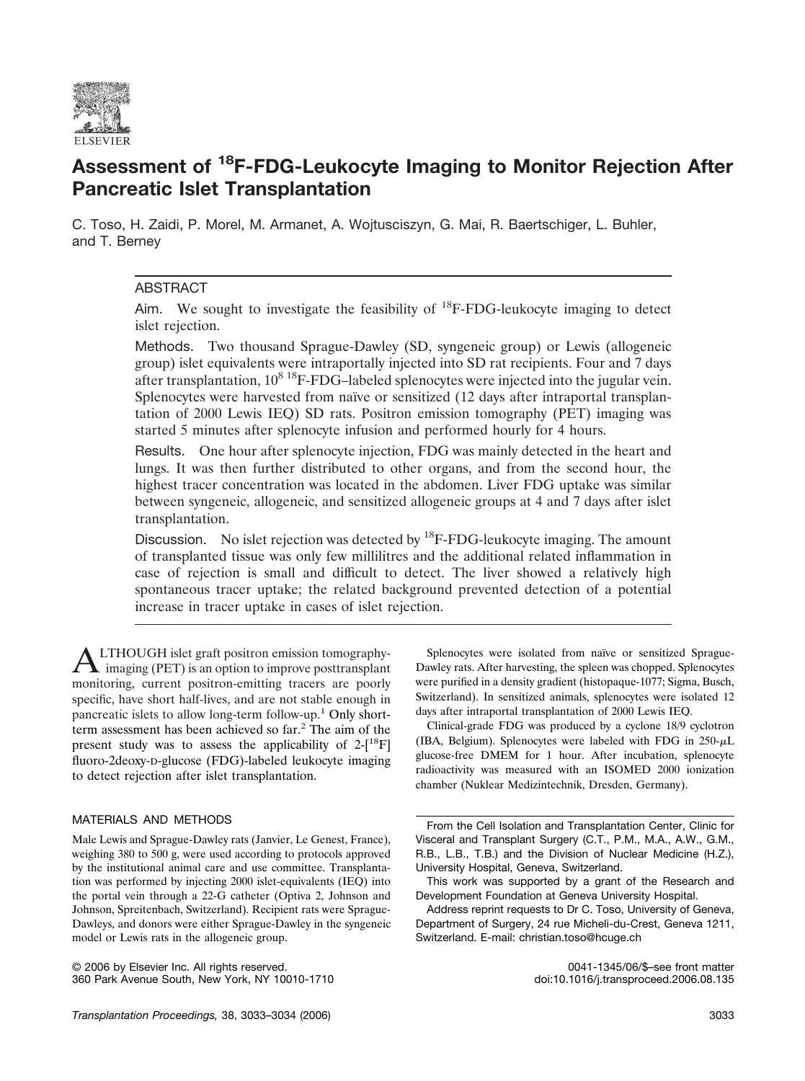

# **Assessment of 18F-FDG-Leukocyte Imaging to Monitor Rejection After Pancreatic Islet Transplantation**

C. Toso, H. Zaidi, P. Morel, M. Armanet, A. Wojtusciszyn, G. Mai, R. Baertschiger, L. Buhler, and T. Berney

# ABSTRACT

Aim. We sought to investigate the feasibility of  $^{18}$ F-FDG-leukocyte imaging to detect islet rejection.

Methods. Two thousand Sprague-Dawley (SD, syngeneic group) or Lewis (allogeneic group) islet equivalents were intraportally injected into SD rat recipients. Four and 7 days after transplantation,  $10^8$  <sup>18</sup>F-FDG–labeled splenocytes were injected into the jugular vein. Splenocytes were harvested from naïve or sensitized (12 days after intraportal transplantation of 2000 Lewis IEQ) SD rats. Positron emission tomography (PET) imaging was started 5 minutes after splenocyte infusion and performed hourly for 4 hours.

Results. One hour after splenocyte injection, FDG was mainly detected in the heart and lungs. It was then further distributed to other organs, and from the second hour, the highest tracer concentration was located in the abdomen. Liver FDG uptake was similar between syngeneic, allogeneic, and sensitized allogeneic groups at 4 and 7 days after islet transplantation.

Discussion. No islet rejection was detected by  ${}^{18}$ F-FDG-leukocyte imaging. The amount of transplanted tissue was only few millilitres and the additional related inflammation in case of rejection is small and difficult to detect. The liver showed a relatively high spontaneous tracer uptake; the related background prevented detection of a potential increase in tracer uptake in cases of islet rejection.

ALTHOUGH islet graft positron emission tomography-imaging (PET) is an option to improve posttransplant monitoring, current positron-emitting tracers are poorly specific, have short half-lives, and are not stable enough in pancreatic islets to allow long-term follow-up[.1](#page-1-0) Only shortterm assessment has been achieved so far.<sup>2</sup> The aim of the present study was to assess the applicability of  $2-[18]F$ ] fluoro-2deoxy-D-glucose (FDG)-labeled leukocyte imaging to detect rejection after islet transplantation.

## MATERIALS AND METHODS

© 2006 by Elsevier Inc. All rights reserved. 0041-1345/06/\$–see front matter 360 Park Avenue South, New York, NY 10010-1710

Splenocytes were isolated from naïve or sensitized Sprague-Dawley rats. After harvesting, the spleen was chopped. Splenocytes were purified in a density gradient (histopaque-1077; Sigma, Busch, Switzerland). In sensitized animals, splenocytes were isolated 12 days after intraportal transplantation of 2000 Lewis IEQ.

Clinical-grade FDG was produced by a cyclone 18/9 cyclotron (IBA, Belgium). Splenocytes were labeled with FDG in  $250 - \mu L$ glucose-free DMEM for 1 hour. After incubation, splenocyte radioactivity was measured with an ISOMED 2000 ionization chamber (Nuklear Medizintechnik, Dresden, Germany).

From the Cell Isolation and Transplantation Center, Clinic for Visceral and Transplant Surgery (C.T., P.M., M.A., A.W., G.M., R.B., L.B., T.B.) and the Division of Nuclear Medicine (H.Z.), University Hospital, Geneva, Switzerland.

This work was supported by a grant of the Research and Development Foundation at Geneva University Hospital.

Male Lewis and Sprague-Dawley rats (Janvier, Le Genest, France), weighing 380 to 500 g, were used according to protocols approved by the institutional animal care and use committee. Transplantation was performed by injecting 2000 islet-equivalents (IEQ) into the portal vein through a 22-G catheter (Optiva 2, Johnson and Johnson, Spreitenbach, Switzerland). Recipient rats were Sprague-Dawleys, and donors were either Sprague-Dawley in the syngeneic model or Lewis rats in the allogeneic group.

Address reprint requests to Dr C. Toso, University of Geneva, Department of Surgery, 24 rue Micheli-du-Crest, Geneva 1211, Switzerland. E-mail: christian.toso@hcuge.ch